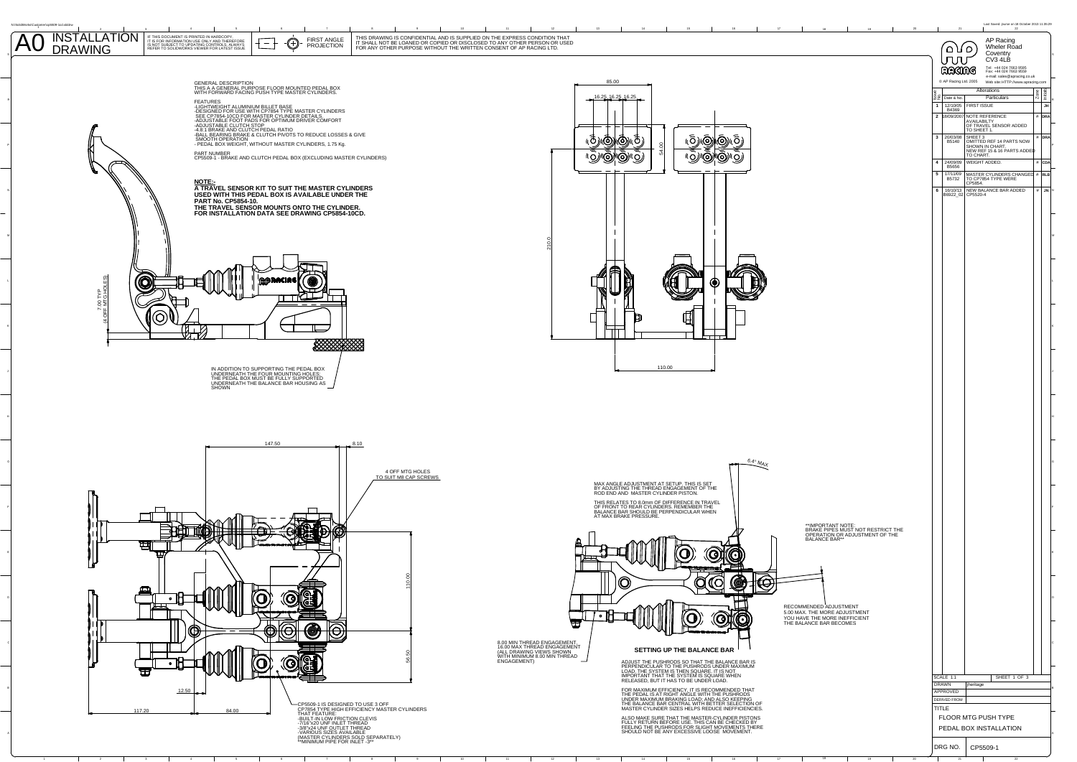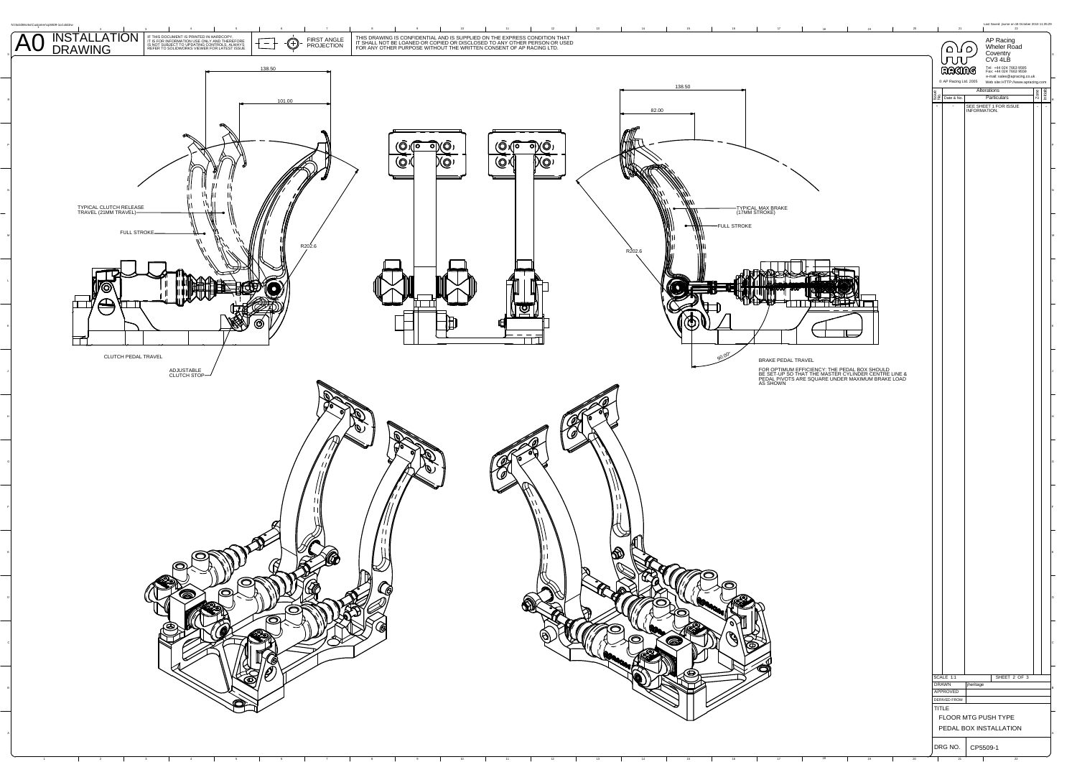